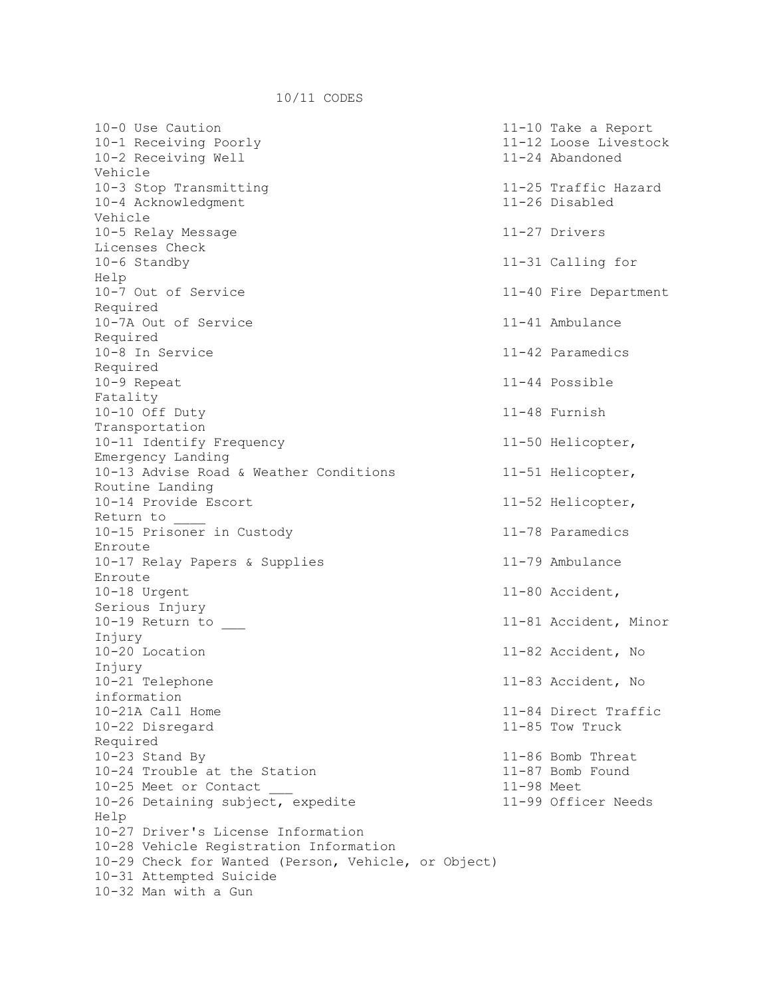10-0 Use Caution 11-10 Take a Report 10-1 Receiving Poorly 11-12 Loose Livestock 10-2 Receiving Well 11-24 Abandoned Vehicle 10-3 Stop Transmitting 11-25 Traffic Hazard 10-4 Acknowledgment 11-26 Disabled Vehicle 10-5 Relay Message 11-27 Drivers Licenses Check 10-6 Standby 11-31 Calling for Help 10-7 Out of Service 11-40 Fire Department Required 10-7A Out of Service 11-41 Ambulance Required 10-8 In Service 11-42 Paramedics Required 10-9 Repeat 11-44 Possible Fatality 10-10 Off Duty 11-48 Furnish Transportation 10-11 Identify Frequency 11-50 Helicopter, Emergency Landing 10-13 Advise Road & Weather Conditions 11-51 Helicopter, Routine Landing 10-14 Provide Escort 11-52 Helicopter, Return to \_\_\_\_ 10-15 Prisoner in Custody 11-78 Paramedics Enroute 10-17 Relay Papers & Supplies 11-79 Ambulance Enroute 10-18 Urgent 11-80 Accident, Serious Injury 10-19 Return to  $11-81$  Accident, Minor Injury 10-20 Location 11-82 Accident, No Injury<br>10-21 Telephone 11-83 Accident, No information 10-21A Call Home 11-84 Direct Traffic 10-22 Disregard 11-85 Tow Truck Required 10-23 Stand By 11-86 Bomb Threat 10-24 Trouble at the Station 11-87 Bomb Found 10-25 Meet or Contact \_\_\_ 11-98 Meet 10-26 Detaining subject, expedite 11-99 Officer Needs Help 10-27 Driver's License Information 10-28 Vehicle Registration Information 10-29 Check for Wanted (Person, Vehicle, or Object) 10-31 Attempted Suicide 10-32 Man with a Gun